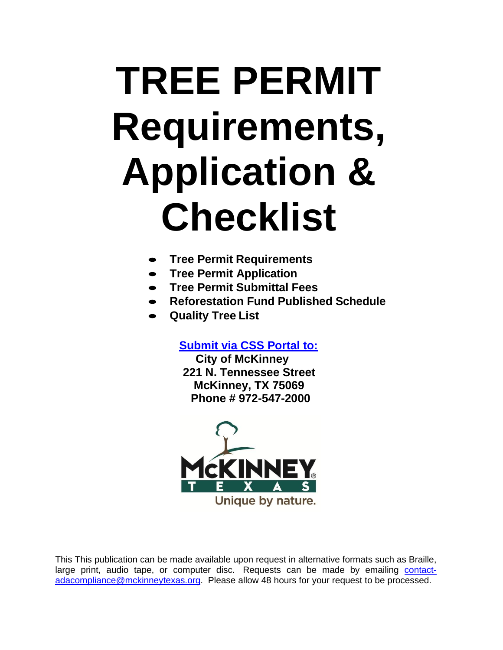# **TREE PERMIT Requirements, Application & Checklist**

- **Tree Permit Requirements**
- **Tree Permit Application**
- **Tree Permit Submittal Fees**
- **Reforestation Fund Published Schedule**
- **Quality Tree List**

**[Submit via CSS Portal to:](https://egov.mckinneytexas.org/EnerGov_Prod/SelfService)**

**City of McKinney 221 N. Tennessee Street McKinney, TX 75069 Phone # 972-547-2000**



This This publication can be made available upon request in alternative formats such as Braille, large print, audio tape, or computer disc. Requests can be made by emailing [contact](mailto:contact-adacompliance@mckinneytexas.org)[adacompliance@mckinneytexas.org.](mailto:contact-adacompliance@mckinneytexas.org) Please allow 48 hours for your request to be processed.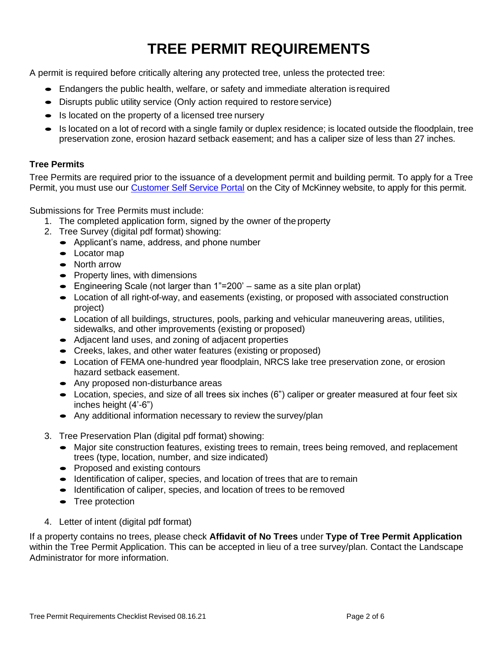# **TREE PERMIT REQUIREMENTS**

A permit is required before critically altering any protected tree, unless the protected tree:

- Endangers the public health, welfare, or safety and immediate alteration isrequired
- Disrupts public utility service (Only action required to restore service)
- Is located on the property of a licensed tree nursery
- Is located on a lot of record with a single family or duplex residence; is located outside the floodplain, tree preservation zone, erosion hazard setback easement; and has a caliper size of less than 27 inches.

### **Tree Permits**

Tree Permits are required prior to the issuance of a development permit and building permit. To apply for a Tree Permit, you must use our [Customer Self Service Portal](https://egov.mckinneytexas.org/EnerGov_Prod/SelfService) on the City of McKinney website, to apply for this permit.

Submissions for Tree Permits must include:

- 1. The completed application form, signed by the owner of the property
- 2. Tree Survey (digital pdf format) showing:
	- Applicant's name, address, and phone number
	- Locator map
	- North arrow
	- Property lines, with dimensions
	- Engineering Scale (not larger than 1"=200' same as a site plan orplat)
	- Location of all right-of-way, and easements (existing, or proposed with associated construction project)
	- Location of all buildings, structures, pools, parking and vehicular maneuvering areas, utilities, sidewalks, and other improvements (existing or proposed)
	- Adjacent land uses, and zoning of adjacent properties
	- Creeks, lakes, and other water features (existing or proposed)
	- Location of FEMA one-hundred year floodplain, NRCS lake tree preservation zone, or erosion hazard setback easement.
	- Any proposed non-disturbance areas
	- Location, species, and size of all trees six inches (6") caliper or greater measured at four feet six inches height (4'-6")
	- Any additional information necessary to review the survey/plan
- 3. Tree Preservation Plan (digital pdf format) showing:
	- Major site construction features, existing trees to remain, trees being removed, and replacement trees (type, location, number, and size indicated)
	- Proposed and existing contours
	- Identification of caliper, species, and location of trees that are to remain
	- Identification of caliper, species, and location of trees to be removed
	- Tree protection
- 4. Letter of intent (digital pdf format)

If a property contains no trees, please check **Affidavit of No Trees** under **Type of Tree Permit Application**  within the Tree Permit Application. This can be accepted in lieu of a tree survey/plan. Contact the Landscape Administrator for more information.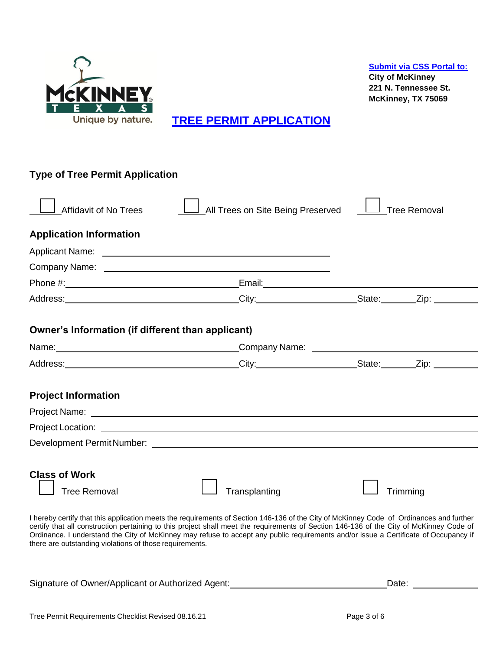

**[TREE PERMIT APPLICATION](https://egov.mckinneytexas.org/EnerGov_Prod/SelfService)**

| <b>Type of Tree Permit Application</b>                                                                                                                                                                                         |                                                                                                                                                                                                                                                                                                                                                                                                                            |                     |
|--------------------------------------------------------------------------------------------------------------------------------------------------------------------------------------------------------------------------------|----------------------------------------------------------------------------------------------------------------------------------------------------------------------------------------------------------------------------------------------------------------------------------------------------------------------------------------------------------------------------------------------------------------------------|---------------------|
| <b>Affidavit of No Trees</b>                                                                                                                                                                                                   | All Trees on Site Being Preserved                                                                                                                                                                                                                                                                                                                                                                                          | <b>Tree Removal</b> |
| <b>Application Information</b>                                                                                                                                                                                                 |                                                                                                                                                                                                                                                                                                                                                                                                                            |                     |
|                                                                                                                                                                                                                                |                                                                                                                                                                                                                                                                                                                                                                                                                            |                     |
|                                                                                                                                                                                                                                |                                                                                                                                                                                                                                                                                                                                                                                                                            |                     |
|                                                                                                                                                                                                                                |                                                                                                                                                                                                                                                                                                                                                                                                                            |                     |
|                                                                                                                                                                                                                                |                                                                                                                                                                                                                                                                                                                                                                                                                            |                     |
| Owner's Information (if different than applicant)                                                                                                                                                                              |                                                                                                                                                                                                                                                                                                                                                                                                                            |                     |
|                                                                                                                                                                                                                                |                                                                                                                                                                                                                                                                                                                                                                                                                            |                     |
|                                                                                                                                                                                                                                |                                                                                                                                                                                                                                                                                                                                                                                                                            |                     |
| <b>Project Information</b>                                                                                                                                                                                                     |                                                                                                                                                                                                                                                                                                                                                                                                                            |                     |
|                                                                                                                                                                                                                                |                                                                                                                                                                                                                                                                                                                                                                                                                            |                     |
| Project Location: The contract of the contract of the contract of the contract of the contract of the contract of the contract of the contract of the contract of the contract of the contract of the contract of the contract |                                                                                                                                                                                                                                                                                                                                                                                                                            |                     |
|                                                                                                                                                                                                                                |                                                                                                                                                                                                                                                                                                                                                                                                                            |                     |
|                                                                                                                                                                                                                                |                                                                                                                                                                                                                                                                                                                                                                                                                            |                     |
| <b>Class of Work</b><br><b>Tree Removal</b>                                                                                                                                                                                    | Transplanting                                                                                                                                                                                                                                                                                                                                                                                                              | Trimming            |
| there are outstanding violations of those requirements.                                                                                                                                                                        | I hereby certify that this application meets the requirements of Section 146-136 of the City of McKinney Code of Ordinances and further<br>certify that all construction pertaining to this project shall meet the requirements of Section 146-136 of the City of McKinney Code of<br>Ordinance. I understand the City of McKinney may refuse to accept any public requirements and/or issue a Certificate of Occupancy if |                     |

Signature of Owner/Applicant or Authorized Agent:<br>
Date: Date: Date: Date: Date: Date: Date: Date: Date: Date: Date: Date: Date: Date: Date: Date: Date: Date: D

**[Submit via CSS Portal to:](https://egov.mckinneytexas.org/EnerGov_Prod/SelfService)**

**City of McKinney 221 N. Tennessee St. McKinney, TX 75069**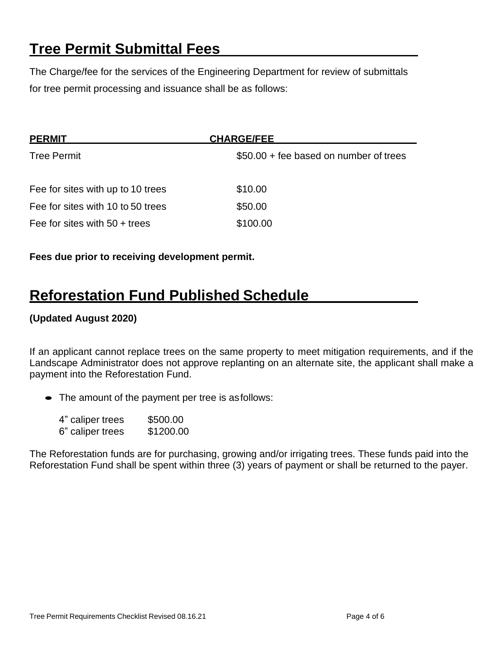# **Tree Permit Submittal Fees**

The Charge/fee for the services of the Engineering Department for review of submittals for tree permit processing and issuance shall be as follows:

| <b>PERMIT</b>                     | <b>CHARGE/FEE</b>                      |
|-----------------------------------|----------------------------------------|
| <b>Tree Permit</b>                | \$50.00 + fee based on number of trees |
| Fee for sites with up to 10 trees | \$10.00                                |
| Fee for sites with 10 to 50 trees | \$50.00                                |
| Fee for sites with $50 +$ trees   | \$100.00                               |

**Fees due prior to receiving development permit.**

## **Reforestation Fund Published Schedule**

## **(Updated August 2020)**

If an applicant cannot replace trees on the same property to meet mitigation requirements, and if the Landscape Administrator does not approve replanting on an alternate site, the applicant shall make a payment into the Reforestation Fund.

• The amount of the payment per tree is as follows:

| 4" caliper trees | \$500.00  |
|------------------|-----------|
| 6" caliper trees | \$1200.00 |

The Reforestation funds are for purchasing, growing and/or irrigating trees. These funds paid into the Reforestation Fund shall be spent within three (3) years of payment or shall be returned to the payer.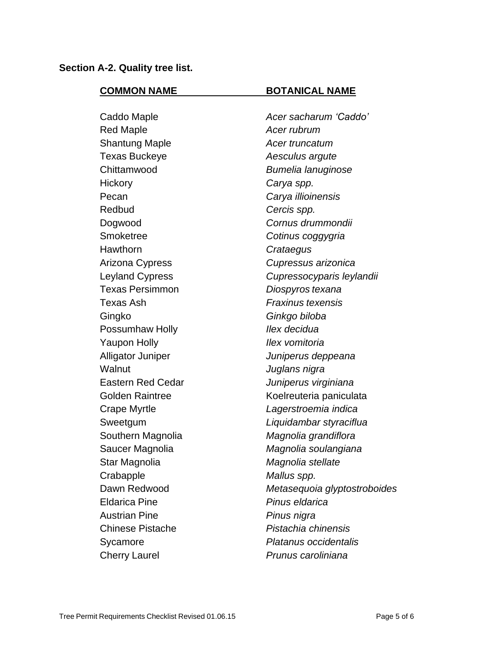### **Section A-2. Quality tree list.**

#### **COMMON NAME BOTANICAL NAME**

Red Maple *Acer rubrum* Shantung Maple *Acer truncatum* Texas Buckeye *Aesculus argute* Chittamwood *Bumelia lanuginose* Hickory *Carya spp.* Pecan *Carya illioinensis* Redbud *Cercis spp.* Dogwood *Cornus drummondii* Smoketree *Cotinus coggygria* Hawthorn *Crataegus* Arizona Cypress *Cupressus arizonica* Texas Persimmon *Diospyros texana* Texas Ash *Fraxinus texensis* Gingko *Ginkgo biloba* Possumhaw Holly *Ilex decidua* Yaupon Holly *Ilex vomitoria* Alligator Juniper *Juniperus deppeana* Walnut *Juglans nigra* Eastern Red Cedar *Juniperus virginiana* Crape Myrtle *Lagerstroemia indica* Southern Magnolia *Magnolia grandiflora* Saucer Magnolia *Magnolia soulangiana* Star Magnolia *Magnolia stellate* Crabapple *Mallus spp.* Eldarica Pine *Pinus eldarica* Austrian Pine *Pinus nigra* Chinese Pistache *Pistachia chinensis* Sycamore *Platanus occidentalis* Cherry Laurel *Prunus caroliniana*

Caddo Maple *Acer sacharum 'Caddo'* Leyland Cypress *Cupressocyparis leylandii* Golden Raintree Koelreuteria paniculata Sweetgum *Liquidambar styraciflua* Dawn Redwood *Metasequoia glyptostroboides*